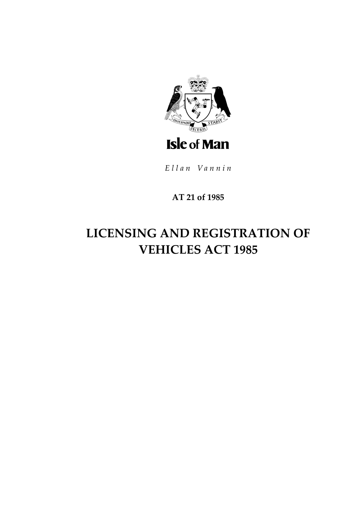

Ellan Vannin

## **AT 21 of 1985**

# **LICENSING AND REGISTRATION OF VEHICLES ACT 1985**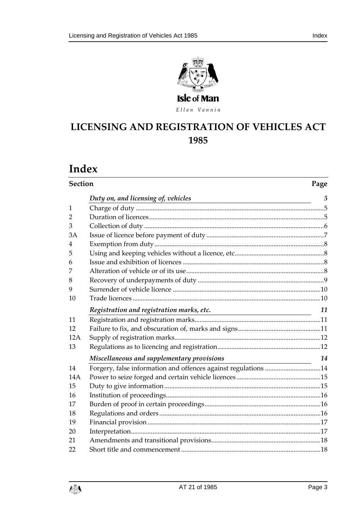



Ellan Vannin

## **LICENSING AND REGIST RATION OF VEHICLES ACT**

## **Index**

| <b>Section</b> |                                                                |    |
|----------------|----------------------------------------------------------------|----|
|                | Duty on, and licensing of, vehicles                            | 5  |
| 1              |                                                                |    |
| $\overline{2}$ |                                                                |    |
| 3              |                                                                |    |
| 3A             |                                                                |    |
| 4              |                                                                |    |
| 5              |                                                                |    |
| 6              |                                                                |    |
| 7              |                                                                |    |
| 8              |                                                                |    |
| 9              |                                                                |    |
| 10             |                                                                |    |
|                | Registration and registration marks, etc.                      | 11 |
| 11             |                                                                |    |
| 12             |                                                                |    |
| 12A            |                                                                |    |
| 13             |                                                                |    |
|                | Miscellaneous and supplementary provisions                     | 14 |
| 14             | Forgery, false information and offences against regulations 14 |    |
| 14A            |                                                                |    |
| 15             |                                                                |    |
| 16             |                                                                |    |
| 17             |                                                                |    |
| 18             |                                                                |    |
| 19             |                                                                |    |
| 20             |                                                                |    |
| 21             |                                                                |    |
| 22             |                                                                |    |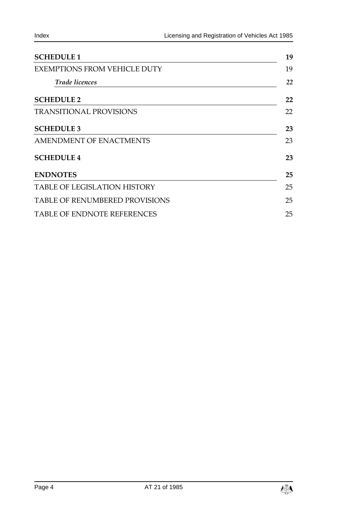| <b>SCHEDULE 1</b>                     | 19 |
|---------------------------------------|----|
| <b>EXEMPTIONS FROM VEHICLE DUTY</b>   | 19 |
| <b>Trade licences</b>                 | 22 |
| <b>SCHEDULE 2</b>                     | 22 |
| <b>TRANSITIONAL PROVISIONS</b>        | 22 |
| <b>SCHEDULE 3</b>                     | 23 |
| <b>AMENDMENT OF ENACTMENTS</b>        | 23 |
| <b>SCHEDULE 4</b>                     | 23 |
| <b>ENDNOTES</b>                       | 25 |
| <b>TABLE OF LEGISLATION HISTORY</b>   | 25 |
| <b>TABLE OF RENUMBERED PROVISIONS</b> | 25 |
| <b>TABLE OF ENDNOTE REFERENCES</b>    | 25 |

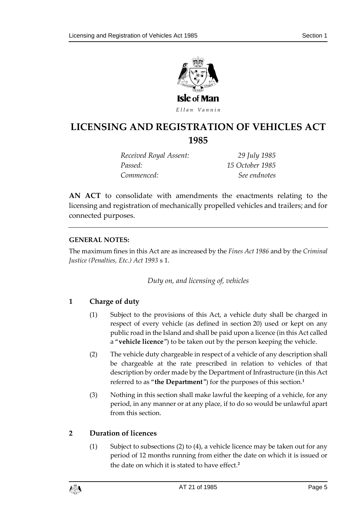

Ellan Vannin

## **LICENSING AND REGIST RATION OF VEHICLES ACT 1985**

*Received Royal Assent: 29 July 1985 Passed: 15 October 1985 Commenced: See endnotes*

**AN ACT** to consolidate with amendments the enactments relating to the licensing and registration of mechanically propelled vehicles and trailers; and for connected purposes.

#### **GENERAL NOTES:**

<span id="page-4-0"></span>The maximum fines in this Act are as increased by the *Fines Act 1986* and by the *Criminal Justice (Penalties, Etc.) Act 1993* s 1.

*Duty on, and licensing of, vehicles*

## <span id="page-4-1"></span>**1 Charge of duty**

- (1) Subject to the provisions of this Act, a vehicle duty shall be charged in respect of every vehicle (as defined in section 20) used or kept on any public road in the Island and shall be paid upon a licence (in this Act called a "**vehicle licence**") to be taken out by the person keeping the vehicle.
- (2) The vehicle duty chargeable in respect of a vehicle of any description shall be chargeable at the rate prescribed in relation to vehicles of that description by order made by the Department of Infrastructure (in this Act referred to as "**the Department**") for the purposes of this section.**<sup>1</sup>**
- (3) Nothing in this section shall make lawful the keeping of a vehicle, for any period, in any manner or at any place, if to do so would be unlawful apart from this section.

## <span id="page-4-2"></span>**2 Duration of licences**

(1) Subject to subsections (2) to (4), a vehicle licence may be taken out for any period of 12 months running from either the date on which it is issued or the date on which it is stated to have effect.**2**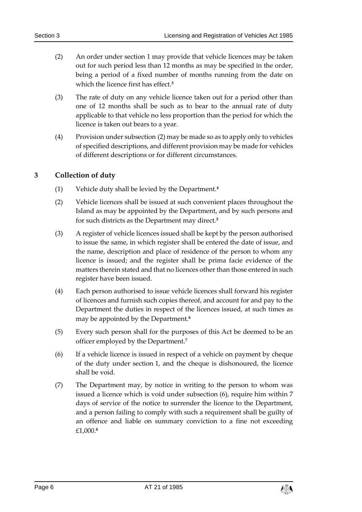- (2) An order under section 1 may provide that vehicle licences may be taken out for such period less than 12 months as may be specified in the order, being a period of a fixed number of months running from the date on which the licence first has effect.**<sup>3</sup>**
- (3) The rate of duty on any vehicle licence taken out for a period other than one of 12 months shall be such as to bear to the annual rate of duty applicable to that vehicle no less proportion than the period for which the licence is taken out bears to a year.
- (4) Provision under subsection (2) may be made so as to apply only to vehicles of specified descriptions, and different provision may be made for vehicles of different descriptions or for different circumstances.

## <span id="page-5-0"></span>**3 Collection of duty**

- (1) Vehicle duty shall be levied by the Department.**<sup>4</sup>**
- (2) Vehicle licences shall be issued at such convenient places throughout the Island as may be appointed by the Department, and by such persons and for such districts as the Department may direct.**<sup>5</sup>**
- (3) A register of vehicle licences issued shall be kept by the person authorised to issue the same, in which register shall be entered the date of issue, and the name, description and place of residence of the person to whom any licence is issued; and the register shall be prima facie evidence of the matters therein stated and that no licences other than those entered in such register have been issued.
- (4) Each person authorised to issue vehicle licences shall forward his register of licences and furnish such copies thereof, and account for and pay to the Department the duties in respect of the licences issued, at such times as may be appointed by the Department.**<sup>6</sup>**
- (5) Every such person shall for the purposes of this Act be deemed to be an officer employed by the Department.**<sup>7</sup>**
- (6) If a vehicle licence is issued in respect of a vehicle on payment by cheque of the duty under section 1, and the cheque is dishonoured, the licence shall be void.
- (7) The Department may, by notice in writing to the person to whom was issued a licence which is void under subsection (6), require him within 7 days of service of the notice to surrender the licence to the Department, and a person failing to comply with such a requirement shall be guilty of an offence and liable on summary conviction to a fine not exceeding £1,000.**8**

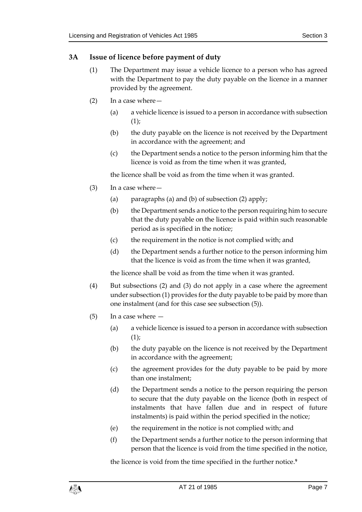#### <span id="page-6-0"></span>**3A Issue of licence before payment of duty**

- (1) The Department may issue a vehicle licence to a person who has agreed with the Department to pay the duty payable on the licence in a manner provided by the agreement.
- (2) In a case where—
	- (a) a vehicle licence is issued to a person in accordance with subsection  $(1)$ ;
	- (b) the duty payable on the licence is not received by the Department in accordance with the agreement; and
	- (c) the Department sends a notice to the person informing him that the licence is void as from the time when it was granted,

the licence shall be void as from the time when it was granted.

- (3) In a case where—
	- (a) paragraphs (a) and (b) of subsection (2) apply;
	- (b) the Department sends a notice to the person requiring him to secure that the duty payable on the licence is paid within such reasonable period as is specified in the notice;
	- (c) the requirement in the notice is not complied with; and
	- (d) the Department sends a further notice to the person informing him that the licence is void as from the time when it was granted,

the licence shall be void as from the time when it was granted.

- (4) But subsections (2) and (3) do not apply in a case where the agreement under subsection (1) provides for the duty payable to be paid by more than one instalment (and for this case see subsection (5)).
- (5) In a case where
	- (a) a vehicle licence is issued to a person in accordance with subsection  $(1);$
	- (b) the duty payable on the licence is not received by the Department in accordance with the agreement;
	- (c) the agreement provides for the duty payable to be paid by more than one instalment;
	- (d) the Department sends a notice to the person requiring the person to secure that the duty payable on the licence (both in respect of instalments that have fallen due and in respect of future instalments) is paid within the period specified in the notice;
	- (e) the requirement in the notice is not complied with; and
	- (f) the Department sends a further notice to the person informing that person that the licence is void from the time specified in the notice,

the licence is void from the time specified in the further notice.**9**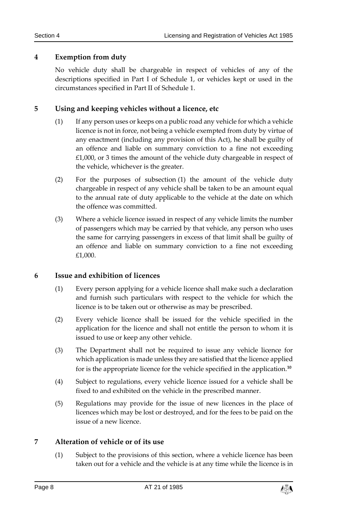#### <span id="page-7-0"></span>**4 Exemption from duty**

No vehicle duty shall be chargeable in respect of vehicles of any of the descriptions specified in Part I of Schedule 1, or vehicles kept or used in the circumstances specified in Part II of Schedule 1.

#### <span id="page-7-1"></span>**5 Using and keeping vehicles without a licence, etc**

- (1) If any person uses or keeps on a public road any vehicle for which a vehicle licence is not in force, not being a vehicle exempted from duty by virtue of any enactment (including any provision of this Act), he shall be guilty of an offence and liable on summary conviction to a fine not exceeding £1,000, or 3 times the amount of the vehicle duty chargeable in respect of the vehicle, whichever is the greater.
- (2) For the purposes of subsection (1) the amount of the vehicle duty chargeable in respect of any vehicle shall be taken to be an amount equal to the annual rate of duty applicable to the vehicle at the date on which the offence was committed.
- (3) Where a vehicle licence issued in respect of any vehicle limits the number of passengers which may be carried by that vehicle, any person who uses the same for carrying passengers in excess of that limit shall be guilty of an offence and liable on summary conviction to a fine not exceeding £1,000.

## <span id="page-7-2"></span>**6 Issue and exhibition of licences**

- (1) Every person applying for a vehicle licence shall make such a declaration and furnish such particulars with respect to the vehicle for which the licence is to be taken out or otherwise as may be prescribed.
- (2) Every vehicle licence shall be issued for the vehicle specified in the application for the licence and shall not entitle the person to whom it is issued to use or keep any other vehicle.
- (3) The Department shall not be required to issue any vehicle licence for which application is made unless they are satisfied that the licence applied for is the appropriate licence for the vehicle specified in the application.**<sup>10</sup>**
- (4) Subject to regulations, every vehicle licence issued for a vehicle shall be fixed to and exhibited on the vehicle in the prescribed manner.
- (5) Regulations may provide for the issue of new licences in the place of licences which may be lost or destroyed, and for the fees to be paid on the issue of a new licence.

## <span id="page-7-3"></span>**7 Alteration of vehicle or of its use**

(1) Subject to the provisions of this section, where a vehicle licence has been taken out for a vehicle and the vehicle is at any time while the licence is in

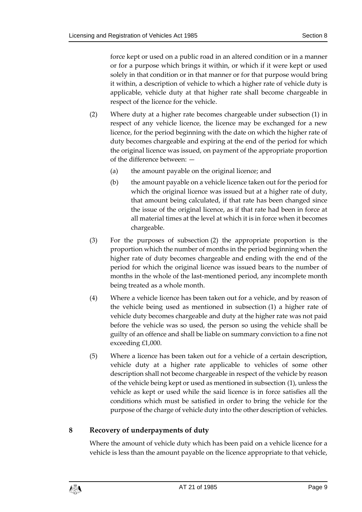force kept or used on a public road in an altered condition or in a manner or for a purpose which brings it within, or which if it were kept or used solely in that condition or in that manner or for that purpose would bring it within, a description of vehicle to which a higher rate of vehicle duty is applicable, vehicle duty at that higher rate shall become chargeable in respect of the licence for the vehicle.

- (2) Where duty at a higher rate becomes chargeable under subsection (1) in respect of any vehicle licence, the licence may be exchanged for a new licence, for the period beginning with the date on which the higher rate of duty becomes chargeable and expiring at the end of the period for which the original licence was issued, on payment of the appropriate proportion of the difference between: —
	- (a) the amount payable on the original licence; and
	- (b) the amount payable on a vehicle licence taken out for the period for which the original licence was issued but at a higher rate of duty, that amount being calculated, if that rate has been changed since the issue of the original licence, as if that rate had been in force at all material times at the level at which it is in force when it becomes chargeable.
- (3) For the purposes of subsection (2) the appropriate proportion is the proportion which the number of months in the period beginning when the higher rate of duty becomes chargeable and ending with the end of the period for which the original licence was issued bears to the number of months in the whole of the last-mentioned period, any incomplete month being treated as a whole month.
- (4) Where a vehicle licence has been taken out for a vehicle, and by reason of the vehicle being used as mentioned in subsection (1) a higher rate of vehicle duty becomes chargeable and duty at the higher rate was not paid before the vehicle was so used, the person so using the vehicle shall be guilty of an offence and shall be liable on summary conviction to a fine not exceeding £1,000.
- (5) Where a licence has been taken out for a vehicle of a certain description, vehicle duty at a higher rate applicable to vehicles of some other description shall not become chargeable in respect of the vehicle by reason of the vehicle being kept or used as mentioned in subsection (1), unless the vehicle as kept or used while the said licence is in force satisfies all the conditions which must be satisfied in order to bring the vehicle for the purpose of the charge of vehicle duty into the other description of vehicles.

## <span id="page-8-0"></span>**8 Recovery of underpayments of duty**

Where the amount of vehicle duty which has been paid on a vehicle licence for a vehicle is less than the amount payable on the licence appropriate to that vehicle,

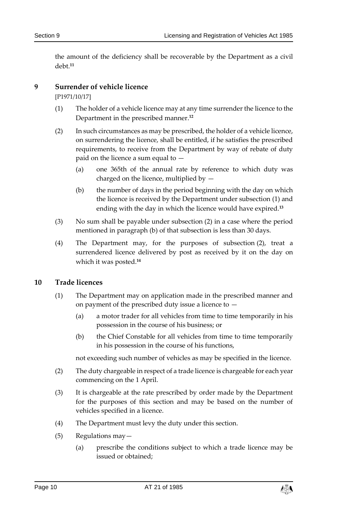the amount of the deficiency shall be recoverable by the Department as a civil debt.**<sup>11</sup>**

#### <span id="page-9-0"></span>**9 Surrender of vehicle licence**

[P1971/10/17]

- (1) The holder of a vehicle licence may at any time surrender the licence to the Department in the prescribed manner.**<sup>12</sup>**
- (2) In such circumstances as may be prescribed, the holder of a vehicle licence, on surrendering the licence, shall be entitled, if he satisfies the prescribed requirements, to receive from the Department by way of rebate of duty paid on the licence a sum equal to —
	- (a) one 365th of the annual rate by reference to which duty was charged on the licence, multiplied by —
	- (b) the number of days in the period beginning with the day on which the licence is received by the Department under subsection (1) and ending with the day in which the licence would have expired.**<sup>13</sup>**
- (3) No sum shall be payable under subsection (2) in a case where the period mentioned in paragraph (b) of that subsection is less than 30 days.
- (4) The Department may, for the purposes of subsection (2), treat a surrendered licence delivered by post as received by it on the day on which it was posted.**<sup>14</sup>**

#### <span id="page-9-1"></span>**10 Trade licences**

- (1) The Department may on application made in the prescribed manner and on payment of the prescribed duty issue a licence to  $-$ 
	- (a) a motor trader for all vehicles from time to time temporarily in his possession in the course of his business; or
	- (b) the Chief Constable for all vehicles from time to time temporarily in his possession in the course of his functions,

not exceeding such number of vehicles as may be specified in the licence.

- (2) The duty chargeable in respect of a trade licence is chargeable for each year commencing on the 1 April.
- (3) It is chargeable at the rate prescribed by order made by the Department for the purposes of this section and may be based on the number of vehicles specified in a licence.
- (4) The Department must levy the duty under this section.
- (5) Regulations may—
	- (a) prescribe the conditions subject to which a trade licence may be issued or obtained;

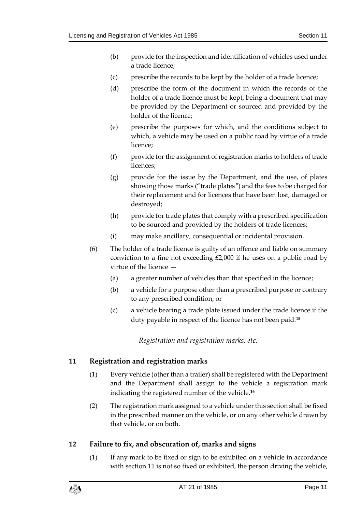- (b) provide for the inspection and identification of vehicles used under a trade licence;
- (c) prescribe the records to be kept by the holder of a trade licence;
- (d) prescribe the form of the document in which the records of the holder of a trade licence must be kept, being a document that may be provided by the Department or sourced and provided by the holder of the licence;
- (e) prescribe the purposes for which, and the conditions subject to which, a vehicle may be used on a public road by virtue of a trade licence;
- (f) provide for the assignment of registration marks to holders of trade licences;
- (g) provide for the issue by the Department, and the use, of plates showing those marks ("trade plates") and the fees to be charged for their replacement and for licences that have been lost, damaged or destroyed;
- (h) provide for trade plates that comply with a prescribed specification to be sourced and provided by the holders of trade licences;
- (i) may make ancillary, consequential or incidental provision.
- (6) The holder of a trade licence is guilty of an offence and liable on summary conviction to a fine not exceeding £2,000 if he uses on a public road by virtue of the licence —
	- (a) a greater number of vehicles than that specified in the licence;
	- (b) a vehicle for a purpose other than a prescribed purpose or contrary to any prescribed condition; or
	- (c) a vehicle bearing a trade plate issued under the trade licence if the duty payable in respect of the licence has not been paid.**<sup>15</sup>**

*Registration and registration marks, etc.*

## <span id="page-10-1"></span><span id="page-10-0"></span>**11 Registration and registration marks**

- (1) Every vehicle (other than a trailer) shall be registered with the Department and the Department shall assign to the vehicle a registration mark indicating the registered number of the vehicle.**<sup>16</sup>**
- (2) The registration mark assigned to a vehicle under this section shall be fixed in the prescribed manner on the vehicle, or on any other vehicle drawn by that vehicle, or on both.

## <span id="page-10-2"></span>**12 Failure to fix, and obscuration of, marks and signs**

(1) If any mark to be fixed or sign to be exhibited on a vehicle in accordance with section 11 is not so fixed or exhibited, the person driving the vehicle,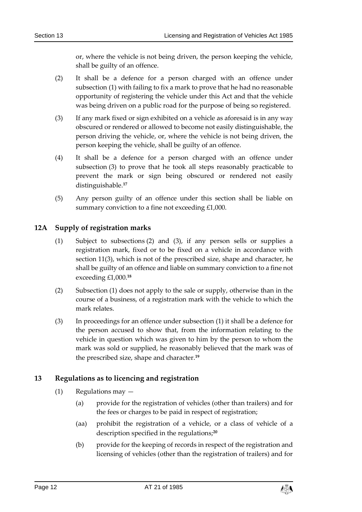or, where the vehicle is not being driven, the person keeping the vehicle, shall be guilty of an offence.

- (2) It shall be a defence for a person charged with an offence under subsection (1) with failing to fix a mark to prove that he had no reasonable opportunity of registering the vehicle under this Act and that the vehicle was being driven on a public road for the purpose of being so registered.
- (3) If any mark fixed or sign exhibited on a vehicle as aforesaid is in any way obscured or rendered or allowed to become not easily distinguishable, the person driving the vehicle, or, where the vehicle is not being driven, the person keeping the vehicle, shall be guilty of an offence.
- (4) It shall be a defence for a person charged with an offence under subsection (3) to prove that he took all steps reasonably practicable to prevent the mark or sign being obscured or rendered not easily distinguishable.**<sup>17</sup>**
- (5) Any person guilty of an offence under this section shall be liable on summary conviction to a fine not exceeding £1,000.

#### <span id="page-11-0"></span>**12A Supply of registration marks**

- (1) Subject to subsections (2) and (3), if any person sells or supplies a registration mark, fixed or to be fixed on a vehicle in accordance with section 11(3), which is not of the prescribed size, shape and character, he shall be guilty of an offence and liable on summary conviction to a fine not exceeding £1,000.**<sup>18</sup>**
- (2) Subsection (1) does not apply to the sale or supply, otherwise than in the course of a business, of a registration mark with the vehicle to which the mark relates.
- (3) In proceedings for an offence under subsection (1) it shall be a defence for the person accused to show that, from the information relating to the vehicle in question which was given to him by the person to whom the mark was sold or supplied, he reasonably believed that the mark was of the prescribed size, shape and character.**<sup>19</sup>**

## <span id="page-11-1"></span>**13 Regulations as to licencing and registration**

- (1) Regulations may
	- (a) provide for the registration of vehicles (other than trailers) and for the fees or charges to be paid in respect of registration;
	- (aa) prohibit the registration of a vehicle, or a class of vehicle of a description specified in the regulations;**<sup>20</sup>**
	- (b) provide for the keeping of records in respect of the registration and licensing of vehicles (other than the registration of trailers) and for

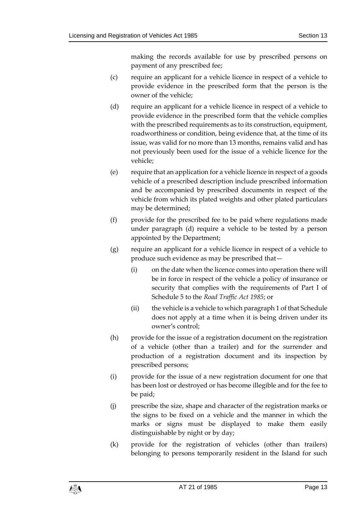making the records available for use by prescribed persons on payment of any prescribed fee;

- (c) require an applicant for a vehicle licence in respect of a vehicle to provide evidence in the prescribed form that the person is the owner of the vehicle;
- (d) require an applicant for a vehicle licence in respect of a vehicle to provide evidence in the prescribed form that the vehicle complies with the prescribed requirements as to its construction, equipment, roadworthiness or condition, being evidence that, at the time of its issue, was valid for no more than 13 months, remains valid and has not previously been used for the issue of a vehicle licence for the vehicle;
- (e) require that an application for a vehicle licence in respect of a goods vehicle of a prescribed description include prescribed information and be accompanied by prescribed documents in respect of the vehicle from which its plated weights and other plated particulars may be determined;
- (f) provide for the prescribed fee to be paid where regulations made under paragraph (d) require a vehicle to be tested by a person appointed by the Department;
- (g) require an applicant for a vehicle licence in respect of a vehicle to produce such evidence as may be prescribed that—
	- (i) on the date when the licence comes into operation there will be in force in respect of the vehicle a policy of insurance or security that complies with the requirements of Part I of Schedule 5 to the *Road Traffic Act 1985*; or
	- (ii) the vehicle is a vehicle to which paragraph 1 of that Schedule does not apply at a time when it is being driven under its owner's control;
- (h) provide for the issue of a registration document on the registration of a vehicle (other than a trailer) and for the surrender and production of a registration document and its inspection by prescribed persons;
- (i) provide for the issue of a new registration document for one that has been lost or destroyed or has become illegible and for the fee to be paid;
- (j) prescribe the size, shape and character of the registration marks or the signs to be fixed on a vehicle and the manner in which the marks or signs must be displayed to make them easily distinguishable by night or by day;
- (k) provide for the registration of vehicles (other than trailers) belonging to persons temporarily resident in the Island for such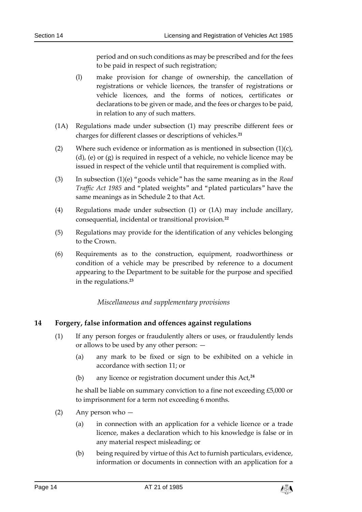period and on such conditions as may be prescribed and for the fees to be paid in respect of such registration;

- (l) make provision for change of ownership, the cancellation of registrations or vehicle licences, the transfer of registrations or vehicle licences, and the forms of notices, certificates or declarations to be given or made, and the fees or charges to be paid, in relation to any of such matters.
- (1A) Regulations made under subsection (1) may prescribe different fees or charges for different classes or descriptions of vehicles.**<sup>21</sup>**
- (2) Where such evidence or information as is mentioned in subsection  $(1)(c)$ , (d), (e) or (g) is required in respect of a vehicle, no vehicle licence may be issued in respect of the vehicle until that requirement is complied with.
- (3) In subsection (1)(e) "goods vehicle" has the same meaning as in the *Road Traffic Act 1985* and "plated weights" and "plated particulars" have the same meanings as in Schedule 2 to that Act.
- (4) Regulations made under subsection (1) or (1A) may include ancillary, consequential, incidental or transitional provision.**<sup>22</sup>**
- (5) Regulations may provide for the identification of any vehicles belonging to the Crown.
- (6) Requirements as to the construction, equipment, roadworthiness or condition of a vehicle may be prescribed by reference to a document appearing to the Department to be suitable for the purpose and specified in the regulations.**<sup>23</sup>**

*Miscellaneous and supplementary provisions*

## <span id="page-13-1"></span><span id="page-13-0"></span>**14 Forgery, false information and offences against regulations**

- (1) If any person forges or fraudulently alters or uses, or fraudulently lends or allows to be used by any other person: —
	- (a) any mark to be fixed or sign to be exhibited on a vehicle in accordance with section 11; or
	- (b) any licence or registration document under this Act,**<sup>24</sup>**

he shall be liable on summary conviction to a fine not exceeding £5,000 or to imprisonment for a term not exceeding 6 months.

- (2) Any person who
	- (a) in connection with an application for a vehicle licence or a trade licence, makes a declaration which to his knowledge is false or in any material respect misleading; or
	- (b) being required by virtue of this Act to furnish particulars, evidence, information or documents in connection with an application for a

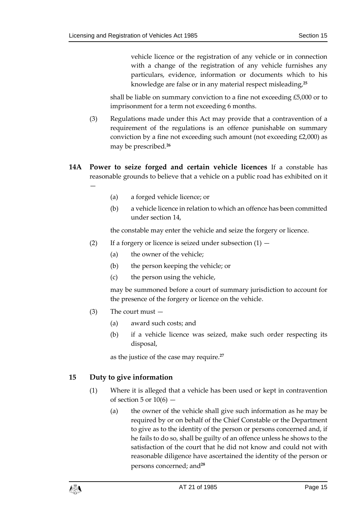vehicle licence or the registration of any vehicle or in connection with a change of the registration of any vehicle furnishes any particulars, evidence, information or documents which to his knowledge are false or in any material respect misleading,**<sup>25</sup>**

shall be liable on summary conviction to a fine not exceeding £5,000 or to imprisonment for a term not exceeding 6 months.

- (3) Regulations made under this Act may provide that a contravention of a requirement of the regulations is an offence punishable on summary conviction by a fine not exceeding such amount (not exceeding £2,000) as may be prescribed.**<sup>26</sup>**
- <span id="page-14-0"></span>**14A Power to seize forged and certain vehicle licences** If a constable has reasonable grounds to believe that a vehicle on a public road has exhibited on it
	- (a) a forged vehicle licence; or
	- (b) a vehicle licence in relation to which an offence has been committed under section 14,

the constable may enter the vehicle and seize the forgery or licence.

- (2) If a forgery or licence is seized under subsection  $(1)$ 
	- (a) the owner of the vehicle;
	- (b) the person keeping the vehicle; or
	- (c) the person using the vehicle,

may be summoned before a court of summary jurisdiction to account for the presence of the forgery or licence on the vehicle.

(3) The court must —

—

- (a) award such costs; and
- (b) if a vehicle licence was seized, make such order respecting its disposal,

as the justice of the case may require.**<sup>27</sup>**

#### <span id="page-14-1"></span>**15 Duty to give information**

- (1) Where it is alleged that a vehicle has been used or kept in contravention of section 5 or  $10(6)$  –
	- (a) the owner of the vehicle shall give such information as he may be required by or on behalf of the Chief Constable or the Department to give as to the identity of the person or persons concerned and, if he fails to do so, shall be guilty of an offence unless he shows to the satisfaction of the court that he did not know and could not with reasonable diligence have ascertained the identity of the person or persons concerned; and**28**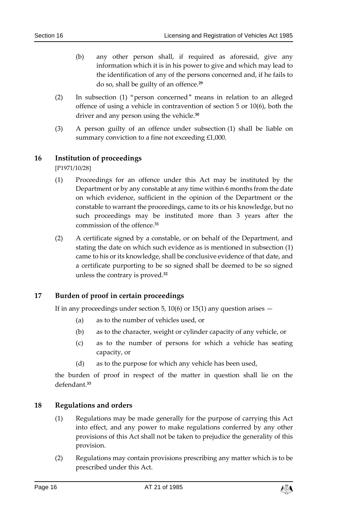- (b) any other person shall, if required as aforesaid, give any information which it is in his power to give and which may lead to the identification of any of the persons concerned and, if he fails to do so, shall be guilty of an offence.**<sup>29</sup>**
- (2) In subsection (1) "person concerned" means in relation to an alleged offence of using a vehicle in contravention of section 5 or 10(6), both the driver and any person using the vehicle.**<sup>30</sup>**
- (3) A person guilty of an offence under subsection (1) shall be liable on summary conviction to a fine not exceeding £1,000.

#### <span id="page-15-0"></span>**16 Institution of proceedings**

[P1971/10/28]

- (1) Proceedings for an offence under this Act may be instituted by the Department or by any constable at any time within 6 months from the date on which evidence, sufficient in the opinion of the Department or the constable to warrant the proceedings, came to its or his knowledge, but no such proceedings may be instituted more than 3 years after the commission of the offence.**<sup>31</sup>**
- (2) A certificate signed by a constable, or on behalf of the Department, and stating the date on which such evidence as is mentioned in subsection (1) came to his or its knowledge, shall be conclusive evidence of that date, and a certificate purporting to be so signed shall be deemed to be so signed unless the contrary is proved.**<sup>32</sup>**

#### <span id="page-15-1"></span>**17 Burden of proof in certain proceedings**

If in any proceedings under section 5, 10(6) or 15(1) any question arises  $-$ 

- (a) as to the number of vehicles used, or
- (b) as to the character, weight or cylinder capacity of any vehicle, or
- (c) as to the number of persons for which a vehicle has seating capacity, or
- (d) as to the purpose for which any vehicle has been used,

the burden of proof in respect of the matter in question shall lie on the defendant.**<sup>33</sup>**

#### <span id="page-15-2"></span>**18 Regulations and orders**

- (1) Regulations may be made generally for the purpose of carrying this Act into effect, and any power to make regulations conferred by any other provisions of this Act shall not be taken to prejudice the generality of this provision.
- (2) Regulations may contain provisions prescribing any matter which is to be prescribed under this Act.

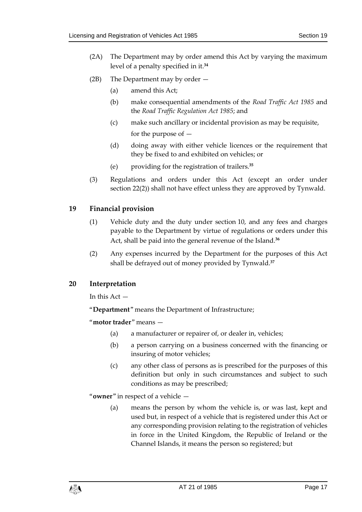- (2A) The Department may by order amend this Act by varying the maximum level of a penalty specified in it.**<sup>34</sup>**
- (2B) The Department may by order
	- (a) amend this Act;
	- (b) make consequential amendments of the *Road Traffic Act 1985* and the *Road Traffic Regulation Act 1985*; and
	- (c) make such ancillary or incidental provision as may be requisite, for the purpose of —
	- (d) doing away with either vehicle licences or the requirement that they be fixed to and exhibited on vehicles; or
	- (e) providing for the registration of trailers.**<sup>35</sup>**
- (3) Regulations and orders under this Act (except an order under section 22(2)) shall not have effect unless they are approved by Tynwald.

#### <span id="page-16-0"></span>**19 Financial provision**

- (1) Vehicle duty and the duty under section 10, and any fees and charges payable to the Department by virtue of regulations or orders under this Act, shall be paid into the general revenue of the Island.**<sup>36</sup>**
- (2) Any expenses incurred by the Department for the purposes of this Act shall be defrayed out of money provided by Tynwald.**<sup>37</sup>**

#### <span id="page-16-1"></span>**20 Interpretation**

In this  $Act -$ 

"**Department**" means the Department of Infrastructure;

"**motor trader**" means —

- (a) a manufacturer or repairer of, or dealer in, vehicles;
- (b) a person carrying on a business concerned with the financing or insuring of motor vehicles;
- (c) any other class of persons as is prescribed for the purposes of this definition but only in such circumstances and subject to such conditions as may be prescribed;

"**owner**" in respect of a vehicle —

(a) means the person by whom the vehicle is, or was last, kept and used but, in respect of a vehicle that is registered under this Act or any corresponding provision relating to the registration of vehicles in force in the United Kingdom, the Republic of Ireland or the Channel Islands, it means the person so registered; but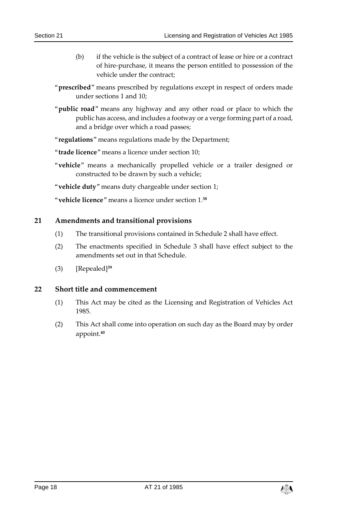- (b) if the vehicle is the subject of a contract of lease or hire or a contract of hire-purchase, it means the person entitled to possession of the vehicle under the contract;
- "**prescribed**" means prescribed by regulations except in respect of orders made under sections 1 and 10;
- "**public road**" means any highway and any other road or place to which the public has access, and includes a footway or a verge forming part of a road, and a bridge over which a road passes;
- "**regulations**" means regulations made by the Department;
- "**trade licence**" means a licence under section 10;
- "**vehicle**" means a mechanically propelled vehicle or a trailer designed or constructed to be drawn by such a vehicle;
- "**vehicle duty**" means duty chargeable under section 1;

"**vehicle licence**" means a licence under section 1. **38**

#### <span id="page-17-0"></span>**21 Amendments and transitional provisions**

- (1) The transitional provisions contained in Schedule 2 shall have effect.
- (2) The enactments specified in Schedule 3 shall have effect subject to the amendments set out in that Schedule.
- (3) [Repealed]**<sup>39</sup>**

#### <span id="page-17-1"></span>**22 Short title and commencement**

- (1) This Act may be cited as the Licensing and Registration of Vehicles Act 1985.
- (2) This Act shall come into operation on such day as the Board may by order appoint.**40**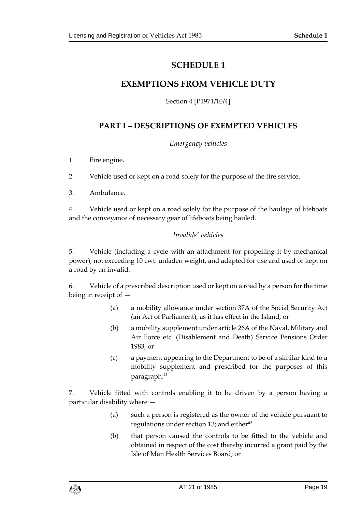## **SCHEDULE 1**

## <span id="page-18-1"></span><span id="page-18-0"></span>**EXEMPTIONS FROM VEHICLE DUTY**

Section 4 [P1971/10/4]

## **PART I – DESCRIPTIONS OF EXEMPTED VEHICLES**

#### *Emergency vehicles*

1. Fire engine.

2. Vehicle used or kept on a road solely for the purpose of the fire service.

3. Ambulance.

4. Vehicle used or kept on a road solely for the purpose of the haulage of lifeboats and the conveyance of necessary gear of lifeboats being hauled.

#### *Invalids' vehicles*

5. Vehicle (including a cycle with an attachment for propelling it by mechanical power), not exceeding 10 cwt. unladen weight, and adapted for use and used or kept on a road by an invalid.

6. Vehicle of a prescribed description used or kept on a road by a person for the time being in receipt of —

- (a) a mobility allowance under section 37A of the Social Security Act (an Act of Parliament), as it has effect in the Island, or
- (b) a mobility supplement under article 26A of the Naval, Military and Air Force etc. (Disablement and Death) Service Pensions Order 1983, or
- (c) a payment appearing to the Department to be of a similar kind to a mobility supplement and prescribed for the purposes of this paragraph.**<sup>41</sup>**

7. Vehicle fitted with controls enabling it to be driven by a person having a particular disability where —

- (a) such a person is registered as the owner of the vehicle pursuant to regulations under section 13; and either**<sup>42</sup>**
- (b) that person caused the controls to be fitted to the vehicle and obtained in respect of the cost thereby incurred a grant paid by the Isle of Man Health Services Board; or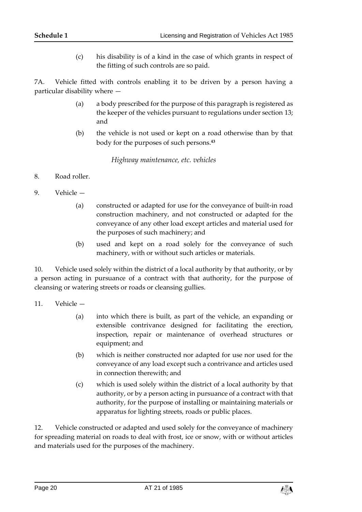(c) his disability is of a kind in the case of which grants in respect of the fitting of such controls are so paid.

7A. Vehicle fitted with controls enabling it to be driven by a person having a particular disability where —

- (a) a body prescribed for the purpose of this paragraph is registered as the keeper of the vehicles pursuant to regulations under section 13; and
- (b) the vehicle is not used or kept on a road otherwise than by that body for the purposes of such persons.**<sup>43</sup>**

*Highway maintenance, etc. vehicles*

- 8. Road roller.
- 9. Vehicle
	- (a) constructed or adapted for use for the conveyance of built-in road construction machinery, and not constructed or adapted for the conveyance of any other load except articles and material used for the purposes of such machinery; and
	- (b) used and kept on a road solely for the conveyance of such machinery, with or without such articles or materials.

10. Vehicle used solely within the district of a local authority by that authority, or by a person acting in pursuance of a contract with that authority, for the purpose of cleansing or watering streets or roads or cleansing gullies.

- 11. Vehicle
	- (a) into which there is built, as part of the vehicle, an expanding or extensible contrivance designed for facilitating the erection, inspection, repair or maintenance of overhead structures or equipment; and
	- (b) which is neither constructed nor adapted for use nor used for the conveyance of any load except such a contrivance and articles used in connection therewith; and
	- (c) which is used solely within the district of a local authority by that authority, or by a person acting in pursuance of a contract with that authority, for the purpose of installing or maintaining materials or apparatus for lighting streets, roads or public places.

12. Vehicle constructed or adapted and used solely for the conveyance of machinery for spreading material on roads to deal with frost, ice or snow, with or without articles and materials used for the purposes of the machinery.

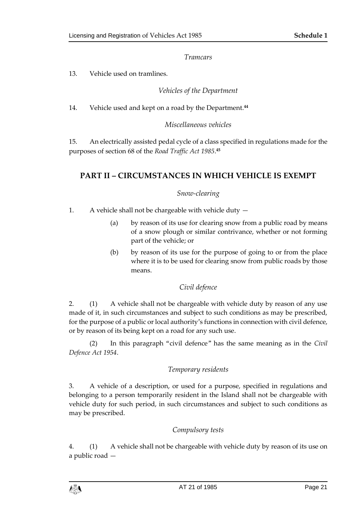#### *Tramcars*

13. Vehicle used on tramlines.

#### *Vehicles of the Department*

14. Vehicle used and kept on a road by the Department.**<sup>44</sup>**

#### *Miscellaneous vehicles*

15. An electrically assisted pedal cycle of a class specified in regulations made for the purposes of section 68 of the *Road Traffic Act 1985*. **45**

## **PART II – CIRCUMSTANCES IN WHICH VEHICLE IS EXEMPT**

#### *Snow-clearing*

1. A vehicle shall not be chargeable with vehicle duty —

- (a) by reason of its use for clearing snow from a public road by means of a snow plough or similar contrivance, whether or not forming part of the vehicle; or
- (b) by reason of its use for the purpose of going to or from the place where it is to be used for clearing snow from public roads by those means.

## *Civil defence*

2. (1) A vehicle shall not be chargeable with vehicle duty by reason of any use made of it, in such circumstances and subject to such conditions as may be prescribed, for the purpose of a public or local authority's functions in connection with civil defence, or by reason of its being kept on a road for any such use.

(2) In this paragraph "civil defence" has the same meaning as in the *Civil Defence Act 1954*.

## *Temporary residents*

3. A vehicle of a description, or used for a purpose, specified in regulations and belonging to a person temporarily resident in the Island shall not be chargeable with vehicle duty for such period, in such circumstances and subject to such conditions as may be prescribed.

#### *Compulsory tests*

4. (1) A vehicle shall not be chargeable with vehicle duty by reason of its use on a public road —

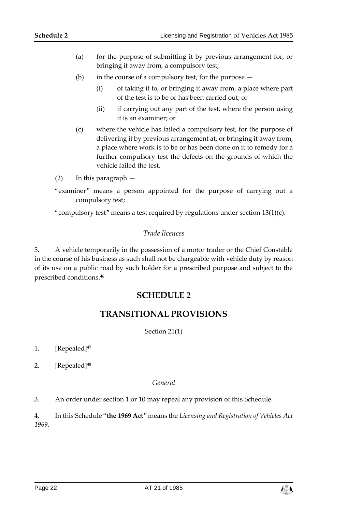- (a) for the purpose of submitting it by previous arrangement for, or bringing it away from, a compulsory test;
- (b) in the course of a compulsory test, for the purpose  $-$ 
	- (i) of taking it to, or bringing it away from, a place where part of the test is to be or has been carried out; or
	- (ii) if carrying out any part of the test, where the person using it is an examiner; or
- (c) where the vehicle has failed a compulsory test, for the purpose of delivering it by previous arrangement at, or bringing it away from, a place where work is to be or has been done on it to remedy for a further compulsory test the defects on the grounds of which the vehicle failed the test.
- (2) In this paragraph —
- "examiner" means a person appointed for the purpose of carrying out a compulsory test;

<span id="page-21-0"></span>"compulsory test" means a test required by regulations under section  $13(1)(c)$ .

#### *Trade licences*

<span id="page-21-1"></span>5. A vehicle temporarily in the possession of a motor trader or the Chief Constable in the course of his business as such shall not be chargeable with vehicle duty by reason of its use on a public road by such holder for a prescribed purpose and subject to the prescribed conditions.**<sup>46</sup>**

## **SCHEDULE 2**

## **TRANSITIONAL PROVISIONS**

Section 21(1)

- <span id="page-21-2"></span>1. [Repealed]**<sup>47</sup>**
- 2. [Repealed] **48**

#### *General*

3. An order under section 1 or 10 may repeal any provision of this Schedule.

4. In this Schedule "**the 1969 Act**" means the *Licensing and Registration of Vehicles Act 1969*.

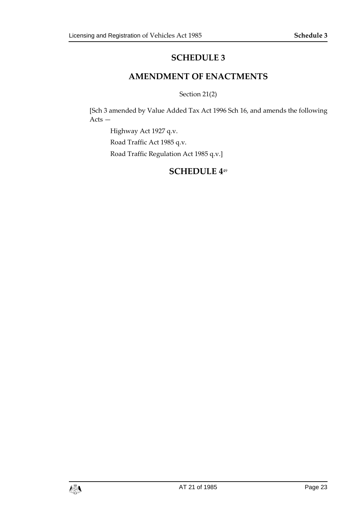## **SCHEDULE 3**

## **AMENDMENT OF ENACTMENTS**

Section 21(2)

<span id="page-22-1"></span><span id="page-22-0"></span>[Sch 3 amended by Value Added Tax Act 1996 Sch 16, and amends the following Acts —

<span id="page-22-2"></span>Highway Act 1927 q.v. Road Traffic Act 1985 q.v. Road Traffic Regulation Act 1985 q.v.]

## **SCHEDULE 4**49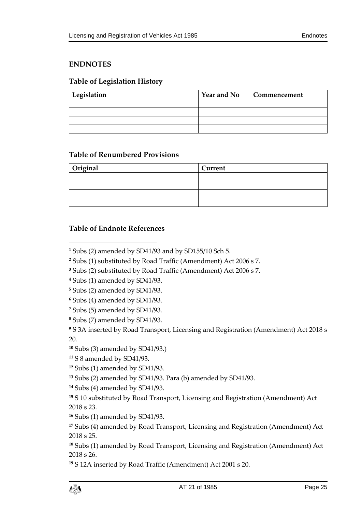## <span id="page-24-0"></span>**ENDNOTES**

## <span id="page-24-1"></span>**Table of Legislation History**

| Legislation | <b>Year and No</b> | Commencement |
|-------------|--------------------|--------------|
|             |                    |              |
|             |                    |              |
|             |                    |              |
|             |                    |              |

#### <span id="page-24-2"></span>**Table of Renumbered Provisions**

| Original | Current |
|----------|---------|
|          |         |
|          |         |
|          |         |
|          |         |

## <span id="page-24-3"></span>**Table of Endnote References**

 $\overline{a}$ 

**<sup>9</sup>** S 3A inserted by Road Transport, Licensing and Registration (Amendment) Act 2018 s 20.

**<sup>10</sup>** Subs (3) amended by SD41/93.)

**<sup>11</sup>** S 8 amended by SD41/93.

**<sup>12</sup>** Subs (1) amended by SD41/93.

**<sup>13</sup>** Subs (2) amended by SD41/93. Para (b) amended by SD41/93.

**<sup>14</sup>** Subs (4) amended by SD41/93.

**<sup>15</sup>** S 10 substituted by Road Transport, Licensing and Registration (Amendment) Act 2018 s 23.

**<sup>16</sup>** Subs (1) amended by SD41/93.

**<sup>17</sup>** Subs (4) amended by Road Transport, Licensing and Registration (Amendment) Act 2018 s 25.

**<sup>18</sup>** Subs (1) amended by Road Transport, Licensing and Registration (Amendment) Act 2018 s 26.

**<sup>19</sup>** S 12A inserted by Road Traffic (Amendment) Act 2001 s 20.

**<sup>1</sup>** Subs (2) amended by SD41/93 and by SD155/10 Sch 5.

**<sup>2</sup>** Subs (1) substituted by Road Traffic (Amendment) Act 2006 s 7.

**<sup>3</sup>** Subs (2) substituted by Road Traffic (Amendment) Act 2006 s 7.

**<sup>4</sup>** Subs (1) amended by SD41/93.

**<sup>5</sup>** Subs (2) amended by SD41/93.

**<sup>6</sup>** Subs (4) amended by SD41/93.

**<sup>7</sup>** Subs (5) amended by SD41/93.

**<sup>8</sup>** Subs (7) amended by SD41/93.